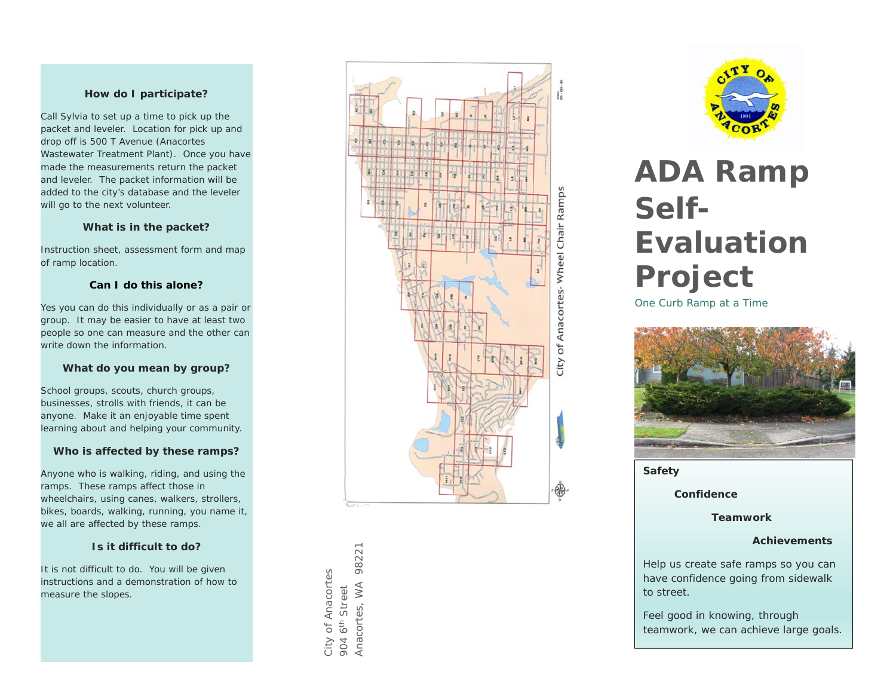#### **How do I participate?**

Call Sylvia to set up a time to pick up the packet and leveler. Location for pick up and drop off is 500 T Avenue (Anacortes Wastewater Treatment Plant). Once you have made the measurements return the packet and leveler. The packet information will be added to the city's database and the leveler will go to the next volunteer.

#### **What is in the packet?**

Instruction sheet, assessment form and map of ramp location.

#### **Can I do this alone?**

Yes you can do this individually or as a pair or group. It may be easier to have at least two people so one can measure and the other can write down the information.

## **What do you mean by group?**

School groups, scouts, church groups, businesses, strolls with friends, it can be anyone. Make it an enjoyable time spent learning about and helping your community.

## **Who is affected by these ramps?**

Anyone who is walking, riding, and using the ramps. These ramps affect those in wheelchairs, using canes, walkers, strollers, bikes, boards, walking, running, you name it, we all are affected by these ramps.

# **Is it difficult to do?**

It is not difficult to do. You will be given instructions and a demonstration of how to measure the slopes.

Anacortes, WA 98221 98221 City of Anacortes City of Anacortes Anacortes, WA 904 6<sup>th</sup> Street 904 6th Street



# **ADA Ramp Self-Evaluation Project**

One Curb Ramp at a Time



**Safety** 

 **Confidence** 

 **Teamwork** 

#### **Achievements**

Help us create safe ramps so you can have confidence going from sidewalk to street.

Feel good in knowing, through teamwork, we can achieve large goals.